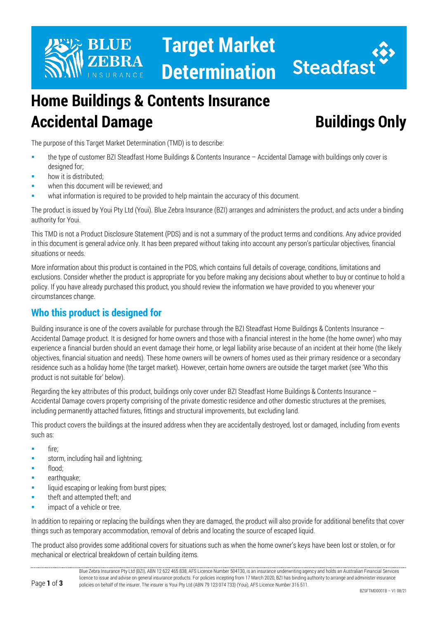

**Target Market Determination**



# **Home Buildings & Contents Insurance Accidental Damage Buildings Only**

The purpose of this Target Market Determination (TMD) is to describe:

- the type of customer BZI Steadfast Home Buildings & Contents Insurance Accidental Damage with buildings only cover is designed for;
- how it is distributed;
- when this document will be reviewed; and
- what information is required to be provided to help maintain the accuracy of this document.

The product is issued by Youi Pty Ltd (Youi). Blue Zebra Insurance (BZI) arranges and administers the product, and acts under a binding authority for Youi.

This TMD is not a Product Disclosure Statement (PDS) and is not a summary of the product terms and conditions. Any advice provided in this document is general advice only. It has been prepared without taking into account any person's particular objectives, financial situations or needs.

More information about this product is contained in the PDS, which contains full details of coverage, conditions, limitations and exclusions. Consider whether the product is appropriate for you before making any decisions about whether to buy or continue to hold a policy. If you have already purchased this product, you should review the information we have provided to you whenever your circumstances change.

## **Who this product is designed for**

Building insurance is one of the covers available for purchase through the BZI Steadfast Home Buildings & Contents Insurance – Accidental Damage product. It is designed for home owners and those with a financial interest in the home (the home owner) who may experience a financial burden should an event damage their home, or legal liability arise because of an incident at their home (the likely objectives, financial situation and needs). These home owners will be owners of homes used as their primary residence or a secondary residence such as a holiday home (the target market). However, certain home owners are outside the target market (see 'Who this product is not suitable for' below).

Regarding the key attributes of this product, buildings only cover under BZI Steadfast Home Buildings & Contents Insurance – Accidental Damage covers property comprising of the private domestic residence and other domestic structures at the premises, including permanently attached fixtures, fittings and structural improvements, but excluding land.

This product covers the buildings at the insured address when they are accidentally destroyed, lost or damaged, including from events such as:

- fire;
- storm, including hail and lightning:
- **flood**;
- earthquake;
- liquid escaping or leaking from burst pipes;
- theft and attempted theft; and
- impact of a vehicle or tree.

In addition to repairing or replacing the buildings when they are damaged, the product will also provide for additional benefits that cover things such as temporary accommodation, removal of debris and locating the source of escaped liquid.

The product also provides some additional covers for situations such as when the home owner's keys have been lost or stolen, or for mechanical or electrical breakdown of certain building items.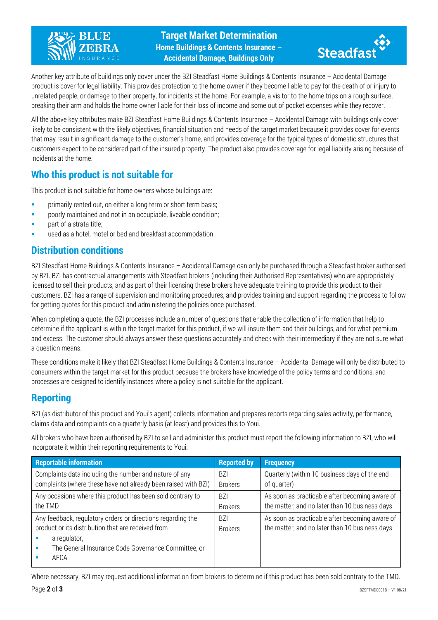



Another key attribute of buildings only cover under the BZI Steadfast Home Buildings & Contents Insurance – Accidental Damage product is cover for legal liability. This provides protection to the home owner if they become liable to pay for the death of or injury to unrelated people, or damage to their property, for incidents at the home. For example, a visitor to the home trips on a rough surface, breaking their arm and holds the home owner liable for their loss of income and some out of pocket expenses while they recover.

All the above key attributes make BZI Steadfast Home Buildings & Contents Insurance – Accidental Damage with buildings only cover likely to be consistent with the likely objectives, financial situation and needs of the target market because it provides cover for events that may result in significant damage to the customer's home, and provides coverage for the typical types of domestic structures that customers expect to be considered part of the insured property. The product also provides coverage for legal liability arising because of incidents at the home.

#### **Who this product is not suitable for**

This product is not suitable for home owners whose buildings are:

- primarily rented out, on either a long term or short term basis;
- poorly maintained and not in an occupiable, liveable condition;
- part of a strata title;
- used as a hotel, motel or bed and breakfast accommodation.

#### **Distribution conditions**

BZI Steadfast Home Buildings & Contents Insurance – Accidental Damage can only be purchased through a Steadfast broker authorised by BZI. BZI has contractual arrangements with Steadfast brokers (including their Authorised Representatives) who are appropriately licensed to sell their products, and as part of their licensing these brokers have adequate training to provide this product to their customers. BZI has a range of supervision and monitoring procedures, and provides training and support regarding the process to follow for getting quotes for this product and administering the policies once purchased.

When completing a quote, the BZI processes include a number of questions that enable the collection of information that help to determine if the applicant is within the target market for this product, if we will insure them and their buildings, and for what premium and excess. The customer should always answer these questions accurately and check with their intermediary if they are not sure what a question means.

These conditions make it likely that BZI Steadfast Home Buildings & Contents Insurance – Accidental Damage will only be distributed to consumers within the target market for this product because the brokers have knowledge of the policy terms and conditions, and processes are designed to identify instances where a policy is not suitable for the applicant.

#### **Reporting**

BZI (as distributor of this product and Youi's agent) collects information and prepares reports regarding sales activity, performance, claims data and complaints on a quarterly basis (at least) and provides this to Youi.

All brokers who have been authorised by BZI to sell and administer this product must report the following information to BZI, who will incorporate it within their reporting requirements to Youi:

| <b>Reportable information</b>                                                                                                                                                                    | <b>Reported by</b>           | <b>Frequency</b>                                                                                 |
|--------------------------------------------------------------------------------------------------------------------------------------------------------------------------------------------------|------------------------------|--------------------------------------------------------------------------------------------------|
| Complaints data including the number and nature of any                                                                                                                                           | <b>BZI</b>                   | Quarterly (within 10 business days of the end                                                    |
| complaints (where these have not already been raised with BZI)                                                                                                                                   | <b>Brokers</b>               | of quarter)                                                                                      |
| Any occasions where this product has been sold contrary to                                                                                                                                       | <b>BZI</b>                   | As soon as practicable after becoming aware of                                                   |
| the TMD                                                                                                                                                                                          | <b>Brokers</b>               | the matter, and no later than 10 business days                                                   |
| Any feedback, regulatory orders or directions regarding the<br>product or its distribution that are received from<br>a regulator,<br>The General Insurance Code Governance Committee, or<br>AFCA | <b>BZI</b><br><b>Brokers</b> | As soon as practicable after becoming aware of<br>the matter, and no later than 10 business days |

Where necessary, BZI may request additional information from brokers to determine if this product has been sold contrary to the TMD.